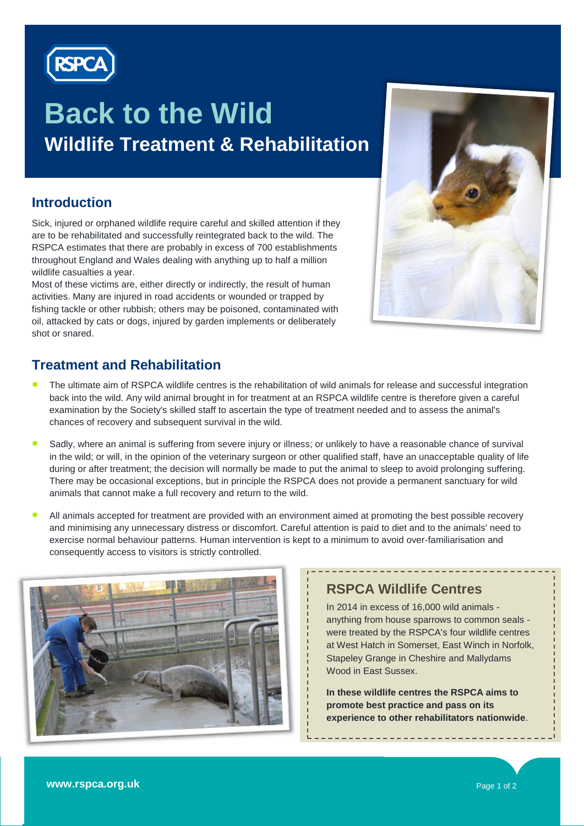

# **Back to the Wild Wildlife Treatment & Rehabilitation**

### **Introduction**

Sick, injured or orphaned wildlife require careful and skilled attention if they are to be rehabilitated and successfully reintegrated back to the wild. The RSPCA estimates that there are probably in excess of 700 establishments throughout England and Wales dealing with anything up to half a million wildlife casualties a year.

Most of these victims are, either directly or indirectly, the result of human activities. Many are injured in road accidents or wounded or trapped by fishing tackle or other rubbish; others may be poisoned, contaminated with oil, attacked by cats or dogs, injured by garden implements or deliberately shot or snared.

### **Treatment and Rehabilitation**

- The ultimate aim of RSPCA wildlife centres is the rehabilitation of wild animals for release and successful integration back into the wild. Any wild animal brought in for treatment at an RSPCA wildlife centre is therefore given a careful examination by the Society's skilled staff to ascertain the type of treatment needed and to assess the animal's chances of recovery and subsequent survival in the wild.
- Sadly, where an animal is suffering from severe injury or illness; or unlikely to have a reasonable chance of survival in the wild; or will, in the opinion of the veterinary surgeon or other qualified staff, have an unacceptable quality of life during or after treatment; the decision will normally be made to put the animal to sleep to avoid prolonging suffering. There may be occasional exceptions, but in principle the RSPCA does not provide a permanent sanctuary for wild animals that cannot make a full recovery and return to the wild.
- All animals accepted for treatment are provided with an environment aimed at promoting the best possible recovery and minimising any unnecessary distress or discomfort. Careful attention is paid to diet and to the animals' need to exercise normal behaviour patterns. Human intervention is kept to a minimum to avoid over-familiarisation and consequently access to visitors is strictly controlled.



### **RSPCA Wildlife Centres**

In 2014 in excess of 16,000 wild animals anything from house sparrows to common seals were treated by the RSPCA's four wildlife centres at West Hatch in Somerset, East Winch in Norfolk, Stapeley Grange in Cheshire and Mallydams Wood in East Sussex.

-------------------------------

**In these wildlife centres the RSPCA aims to promote best practice and pass on its experience to other rehabilitators nationwide**.